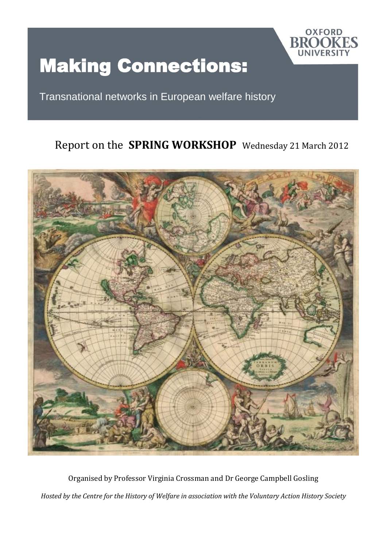

# Making Connections:

Transnational networks in European welfare history

## Report on the **SPRING WORKSHOP** Wednesday 21 March 2012



Organised by Professor Virginia Crossman and Dr George Campbell Gosling *Hosted by the Centre for the History of Welfare in association with the Voluntary Action History Society*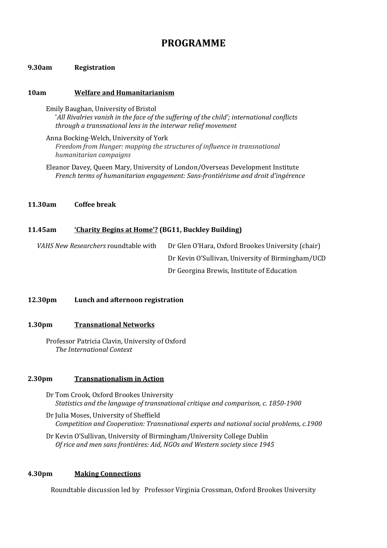## **PROGRAMME**

#### **9.30am Registration**

#### **10am Welfare and Humanitarianism**

Emily Baughan, University of Bristol '*All Rivalries vanish in the face of the suffering of the child'; international conflicts through a transnational lens in the interwar relief movement*

Anna Bocking-Welch, University of York *Freedom from Hunger: mapping the structures of influence in transnational humanitarian campaigns*

Eleanor Davey, Queen Mary, University of London/Overseas Development Institute *French terms of humanitarian engagement: Sans-frontiérisme and droit d'ingérence*

#### **11.30am Coffee break**

#### **11.45am 'Charity Begins at Home'? (BG11, Buckley Building)**

| VAHS New Researchers roundtable with | Dr Glen O'Hara, Oxford Brookes University (chair) |
|--------------------------------------|---------------------------------------------------|
|                                      | Dr Kevin O'Sullivan, University of Birmingham/UCD |
|                                      | Dr Georgina Brewis, Institute of Education        |

#### **12.30pm Lunch and afternoon registration**

#### **1.30pm Transnational Networks**

Professor Patricia Clavin, University of Oxford *The International Context*

#### **2.30pm Transnationalism in Action**

- Dr Tom Crook, Oxford Brookes University *Statistics and the language of transnational critique and comparison, c. 1850-1900*
- Dr Julia Moses, University of Sheffield *Competition and Cooperation: Transnational experts and national social problems, c.1900*
- Dr Kevin O'Sullivan, University of Birmingham/University College Dublin *Of rice and men sans frontières: Aid, NGOs and Western society since 1945*

#### **4.30pm Making Connections**

Roundtable discussion led by Professor Virginia Crossman, Oxford Brookes University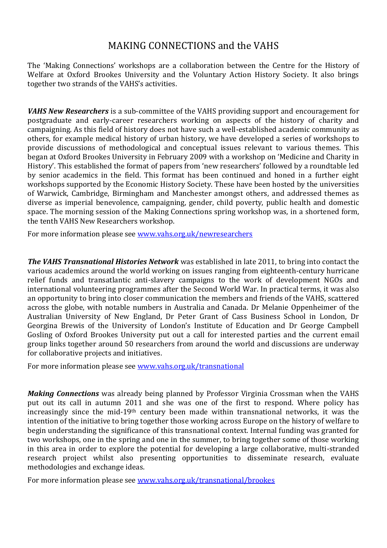## MAKING CONNECTIONS and the VAHS

The 'Making Connections' workshops are a collaboration between the Centre for the History of Welfare at Oxford Brookes University and the Voluntary Action History Society. It also brings together two strands of the VAHS's activities.

*VAHS New Researchers* is a sub-committee of the VAHS providing support and encouragement for postgraduate and early-career researchers working on aspects of the history of charity and campaigning. As this field of history does not have such a well-established academic community as others, for example medical history of urban history, we have developed a series of workshops to provide discussions of methodological and conceptual issues relevant to various themes. This began at Oxford Brookes University in February 2009 with a workshop on 'Medicine and Charity in History'. This established the format of papers from 'new researchers' followed by a roundtable led by senior academics in the field. This format has been continued and honed in a further eight workshops supported by the Economic History Society. These have been hosted by the universities of Warwick, Cambridge, Birmingham and Manchester amongst others, and addressed themes as diverse as imperial benevolence, campaigning, gender, child poverty, public health and domestic space. The morning session of the Making Connections spring workshop was, in a shortened form, the tenth VAHS New Researchers workshop.

For more information please see [www.vahs.org.uk/newresearchers](http://www.vahs.org.uk/newresearchers)

*The VAHS Transnational Histories Network* was established in late 2011, to bring into contact the various academics around the world working on issues ranging from eighteenth-century hurricane relief funds and transatlantic anti-slavery campaigns to the work of development NGOs and international volunteering programmes after the Second World War. In practical terms, it was also an opportunity to bring into closer communication the members and friends of the VAHS, scattered across the globe, with notable numbers in Australia and Canada. Dr Melanie Oppenheimer of the Australian University of New England, Dr Peter Grant of Cass Business School in London, Dr Georgina Brewis of the University of London's Institute of Education and Dr George Campbell Gosling of Oxford Brookes University put out a call for interested parties and the current email group links together around 50 researchers from around the world and discussions are underway for collaborative projects and initiatives.

For more information please see [www.vahs.org.uk/transnational](http://www.vahs.org.uk/transnational)

*Making Connections* was already being planned by Professor Virginia Crossman when the VAHS put out its call in autumn 2011 and she was one of the first to respond. Where policy has increasingly since the mid-19th century been made within transnational networks, it was the intention of the initiative to bring together those working across Europe on the history of welfare to begin understanding the significance of this transnational context. Internal funding was granted for two workshops, one in the spring and one in the summer, to bring together some of those working in this area in order to explore the potential for developing a large collaborative, multi-stranded research project whilst also presenting opportunities to disseminate research, evaluate methodologies and exchange ideas.

For more information please see [www.vahs.org.uk/transnational/brookes](http://www.vahs.org.uk/transnational/brookes)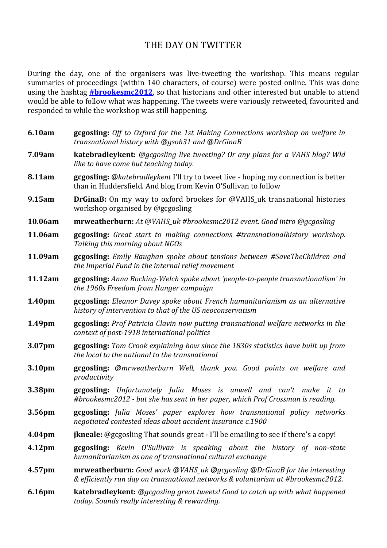### THE DAY ON TWITTER

During the day, one of the organisers was live-tweeting the workshop. This means regular summaries of proceedings (within 140 characters, of course) were posted online. This was done using the hashtag **[#brookesmc2012](https://twitter.com/#%21/search/%23brookesmc2012)**, so that historians and other interested but unable to attend would be able to follow what was happening. The tweets were variously retweeted, favourited and responded to while the workshop was still happening.

**6.10am gcgosling:** *Off to Oxford for the 1st Making Connections workshop on welfare in transnational history with @gsoh31 and @DrGinaB*

- **7.09am katebradleykent:** *@gcgosling live tweeting? Or any plans for a VAHS blog? Wld like to have come but teaching today.*
- **8.11am gcgosling:** *@katebradleykent* I'll try to tweet live hoping my connection is better than in Huddersfield. And blog from Kevin O'Sullivan to follow
- **9.15am DrGinaB:** On my way to oxford brookes for @VAHS\_uk transnational histories workshop organised by @gcgosling
- **10.06am mrweatherburn:** *At @VAHS\_uk #brookesmc2012 event. Good intro @gcgosling*
- **11.06am gcgosling:** *Great start to making connections #transnationalhistory workshop. Talking this morning about NGOs*
- **11.09am gcgosling:** *Emily Baughan spoke about tensions between #SaveTheChildren and the Imperial Fund in the internal relief movement*
- **11.12am gcgosling:** *Anna Bocking-Welch spoke about 'people-to-people transnationalism' in the 1960s Freedom from Hunger campaign*
- **1.40pm gcgosling:** *Eleanor Davey spoke about French humanitarianism as an alternative history of intervention to that of the US neoconservatism*
- **1.49pm gcgosling:** *Prof Patricia Clavin now putting transnational welfare networks in the context of post-1918 international politics*
- **3.07pm gcgosling:** *Tom Crook explaining how since the 1830s statistics have built up from the local to the national to the transnational*
- **3.10pm gcgosling:** *@mrweatherburn Well, thank you. Good points on welfare and productivity*
- **3.38pm gcgosling:** *Unfortunately Julia Moses is unwell and can't make it to #brookesmc2012 - but she has sent in her paper, which Prof Crossman is reading.*
- **3.56pm gcgosling:** *Julia Moses' paper explores how transnational policy networks negotiated contested ideas about accident insurance c.1900*
- **4.04pm jkneale:** @gcgosling That sounds great I'll be emailing to see if there's a copy!
- **4.12pm gcgosling:** *Kevin O'Sullivan is speaking about the history of non-state humanitarianism as one of transnational cultural exchange*
- **4.57pm mrweatherburn:** *Good work @VAHS\_uk @gcgosling @DrGinaB for the interesting & efficiently run day on transnational networks & voluntarism at #brookesmc2012.*
- **6.16pm katebradleykent:** *@gcgosling great tweets! Good to catch up with what happened today. Sounds really interesting & rewarding.*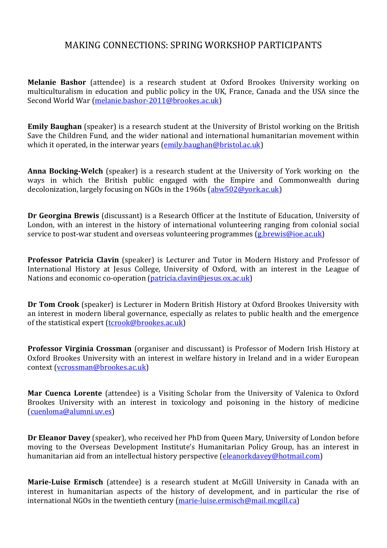## MAKING CONNECTIONS: SPRING WORKSHOP PARTICIPANTS

**Melanie Bashor** (attendee) is a research student at Oxford Brookes University working on multiculturalism in education and public policy in the UK, France, Canada and the USA since the Second World War [\(melanie.bashor-2011@brookes.ac.uk\)](mailto:melanie.bashor-2011@brookes.ac.uk)

**Emily Baughan** (speaker) is a research student at the University of Bristol working on the British Save the Children Fund, and the wider national and international humanitarian movement within which it operated, in the interwar years [\(emily.baughan@bristol.ac.uk\)](mailto:emily.baughan@bristol.ac.uk)

**Anna Bocking-Welch** (speaker) is a research student at the University of York working on the ways in which the British public engaged with the Empire and Commonwealth during decolonization, largely focusing on NGOs in the 1960s [\(abw502@york.ac.uk\)](mailto:abw502@york.ac.uk)

**Dr Georgina Brewis** (discussant) is a Research Officer at the Institute of Education, University of London, with an interest in the history of international volunteering ranging from colonial social service to post-war student and overseas volunteering programmes [\(g.brewis@ioe.ac.uk\)](mailto:g.brewis@ioe.ac.uk)

**Professor Patricia Clavin** (speaker) is Lecturer and Tutor in Modern History and Professor of International History at Jesus College, University of Oxford, with an interest in the League of Nations and economic co-operation [\(patricia.clavin@jesus.ox.ac.uk\)](mailto:patricia.clavin@jesus.ox.ac.uk)

**Dr Tom Crook** (speaker) is Lecturer in Modern British History at Oxford Brookes University with an interest in modern liberal governance, especially as relates to public health and the emergence of the statistical expert [\(tcrook@brookes.ac.uk\)](mailto:tcrook@brookes.ac.uk)

**Professor Virginia Crossman** (organiser and discussant) is Professor of Modern Irish History at Oxford Brookes University with an interest in welfare history in Ireland and in a wider European context [\(vcrossman@brookes.ac.uk\)](mailto:vcrossman@brookes.ac.uk)

**Mar Cuenca Lorente** (attendee) is a Visiting Scholar from the University of Valenica to Oxford Brookes University with an interest in toxicology and poisoning in the history of medicine [\(cuenloma@alumni.uv.es\)](mailto:cuenloma@alumni.uv.es)

**Dr Eleanor Davey** (speaker), who received her PhD from Queen Mary, University of London before moving to the Overseas Development Institute's Humanitarian Policy Group, has an interest in humanitarian aid from an intellectual history perspective [\(eleanorkdavey@hotmail.com\)](mailto:eleanorkdavey@hotmail.com)

**Marie-Luise Ermisch** (attendee) is a research student at McGill University in Canada with an interest in humanitarian aspects of the history of development, and in particular the rise of international NGOs in the twentieth century [\(marie-luise.ermisch@mail.mcgill.ca\)](mailto:marie-luise.ermisch@mail.mcgill.ca)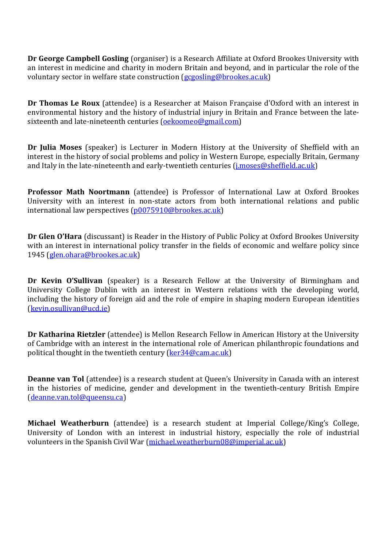**Dr George Campbell Gosling** (organiser) is a Research Affiliate at Oxford Brookes University with an interest in medicine and charity in modern Britain and beyond, and in particular the role of the voluntary sector in welfare state construction [\(gcgosling@brookes.ac.uk\)](mailto:gcgosling@brookes.ac.uk)

**Dr Thomas Le Roux** (attendee) is a Researcher at Maison Française d'Oxford with an interest in environmental history and the history of industrial injury in Britain and France between the latesixteenth and late-nineteenth centuries [\(oekoomeo@gmail.com\)](mailto:oekoomeo@gmail.com)

**Dr Julia Moses** (speaker) is Lecturer in Modern History at the University of Sheffield with an interest in the history of social problems and policy in Western Europe, especially Britain, Germany and Italy in the late-nineteenth and early-twentieth centuries (*j.moses@sheffield.ac.uk*)

**Professor Math Noortmann** (attendee) is Professor of International Law at Oxford Brookes University with an interest in non-state actors from both international relations and public international law perspectives [\(p0075910@brookes.ac.uk\)](mailto:p0075910@brookes.ac.uk)

**Dr Glen O'Hara** (discussant) is Reader in the History of Public Policy at Oxford Brookes University with an interest in international policy transfer in the fields of economic and welfare policy since 1945 [\(glen.ohara@brookes.ac.uk\)](mailto:glen.ohara@brookes.ac.uk)

**Dr Kevin O'Sullivan** (speaker) is a Research Fellow at the University of Birmingham and University College Dublin with an interest in Western relations with the developing world, including the history of foreign aid and the role of empire in shaping modern European identities [\(kevin.osullivan@ucd.ie\)](mailto:kevin.osullivan@ucd.ie)

**Dr Katharina Rietzler** (attendee) is Mellon Research Fellow in American History at the University of Cambridge with an interest in the international role of American philanthropic foundations and political thought in the twentieth century [\(ker34@cam.ac.uk\)](mailto:ker34@cam.ac.uk)

**Deanne van Tol** (attendee) is a research student at Queen's University in Canada with an interest in the histories of medicine, gender and development in the twentieth-century British Empire [\(deanne.van.tol@queensu.ca\)](mailto:deanne.van.tol@queensu.ca)

**Michael Weatherburn** (attendee) is a research student at Imperial College/King's College, University of London with an interest in industrial history, especially the role of industrial volunteers in the Spanish Civil War [\(michael.weatherburn08@imperial.ac.uk\)](mailto:michael.weatherburn08@imperial.ac.uk)